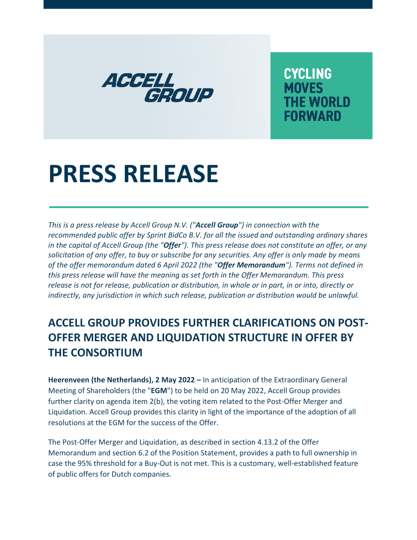

**CYCLING MOVES THE WORLD FORWARD** 

# **PRESS RELEASE**

*This is a press release by Accell Group N.V. ("Accell Group") in connection with the recommended public offer by Sprint BidCo B.V. for all the issued and outstanding ordinary shares in the capital of Accell Group (the "Offer"). This press release does not constitute an offer, or any solicitation of any offer, to buy or subscribe for any securities. Any offer is only made by means of the offer memorandum dated 6 April 2022 (the "Offer Memorandum"). Terms not defined in this press release will have the meaning as set forth in the Offer Memorandum. This press release is not for release, publication or distribution, in whole or in part, in or into, directly or indirectly, any jurisdiction in which such release, publication or distribution would be unlawful.*

# **ACCELL GROUP PROVIDES FURTHER CLARIFICATIONS ON POST-OFFER MERGER AND LIQUIDATION STRUCTURE IN OFFER BY THE CONSORTIUM**

**Heerenveen (the Netherlands), 2 May 2022 –** In anticipation of the Extraordinary General Meeting of Shareholders (the "**EGM**") to be held on 20 May 2022, Accell Group provides further clarity on agenda item 2(b), the voting item related to the Post-Offer Merger and Liquidation. Accell Group provides this clarity in light of the importance of the adoption of all resolutions at the EGM for the success of the Offer.

The Post-Offer Merger and Liquidation, as described in section 4.13.2 of the Offer Memorandum and section 6.2 of the Position Statement, provides a path to full ownership in case the 95% threshold for a Buy-Out is not met. This is a customary, well-established feature of public offers for Dutch companies.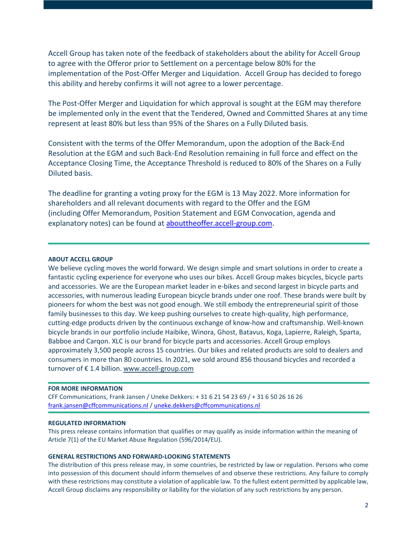Accell Group has taken note of the feedback of stakeholders about the ability for Accell Group to agree with the Offeror prior to Settlement on a percentage below 80% for the implementation of the Post-Offer Merger and Liquidation. Accell Group has decided to forego this ability and hereby confirms it will not agree to a lower percentage.

The Post-Offer Merger and Liquidation for which approval is sought at the EGM may therefore be implemented only in the event that the Tendered, Owned and Committed Shares at any time represent at least 80% but less than 95% of the Shares on a Fully Diluted basis.

Consistent with the terms of the Offer Memorandum, upon the adoption of the Back-End Resolution at the EGM and such Back-End Resolution remaining in full force and effect on the Acceptance Closing Time, the Acceptance Threshold is reduced to 80% of the Shares on a Fully Diluted basis.

The deadline for granting a voting proxy for the EGM is 13 May 2022. More information for shareholders and all relevant documents with regard to the Offer and the EGM (including Offer Memorandum, Position Statement and EGM Convocation, agenda and explanatory notes) can be found at [abouttheoffer.accell-group.com.](https://abouttheoffer.accell-group.com/en/)

## **ABOUT ACCELL GROUP**

We believe cycling moves the world forward. We design simple and smart solutions in order to create a fantastic cycling experience for everyone who uses our bikes. Accell Group makes bicycles, bicycle parts and accessories. We are the European market leader in e-bikes and second largest in bicycle parts and accessories, with numerous leading European bicycle brands under one roof. These brands were built by pioneers for whom the best was not good enough. We still embody the entrepreneurial spirit of those family businesses to this day. We keep pushing ourselves to create high-quality, high performance, cutting-edge products driven by the continuous exchange of know-how and craftsmanship. Well-known bicycle brands in our portfolio include Haibike, Winora, Ghost, Batavus, Koga, Lapierre, Raleigh, Sparta, Babboe and Carqon. XLC is our brand for bicycle parts and accessories. Accell Group employs approximately 3,500 people across 15 countries. Our bikes and related products are sold to dealers and consumers in more than 80 countries. In 2021, we sold around 856 thousand bicycles and recorded a turnover of € 1.4 billion. [www.accell-group.com](https://www.accell-group.com/en)

#### **FOR MORE INFORMATION**

CFF Communications, Frank Jansen / Uneke Dekkers: + 31 6 21 54 23 69 / + 31 6 50 26 16 26 [frank.jansen@cffcommunications.nl](mailto:frank.jansen@cffcommunications.nl) / [uneke.dekkers@cffcommunications.nl](mailto:uneke.dekkers@cffcommunications.nl)

# **REGULATED INFORMATION**

This press release contains information that qualifies or may qualify as inside information within the meaning of Article 7(1) of the EU Market Abuse Regulation (596/2014/EU).

### **GENERAL RESTRICTIONS AND FORWARD-LOOKING STATEMENTS**

The distribution of this press release may, in some countries, be restricted by law or regulation. Persons who come into possession of this document should inform themselves of and observe these restrictions. Any failure to comply with these restrictions may constitute a violation of applicable law. To the fullest extent permitted by applicable law, Accell Group disclaims any responsibility or liability for the violation of any such restrictions by any person.